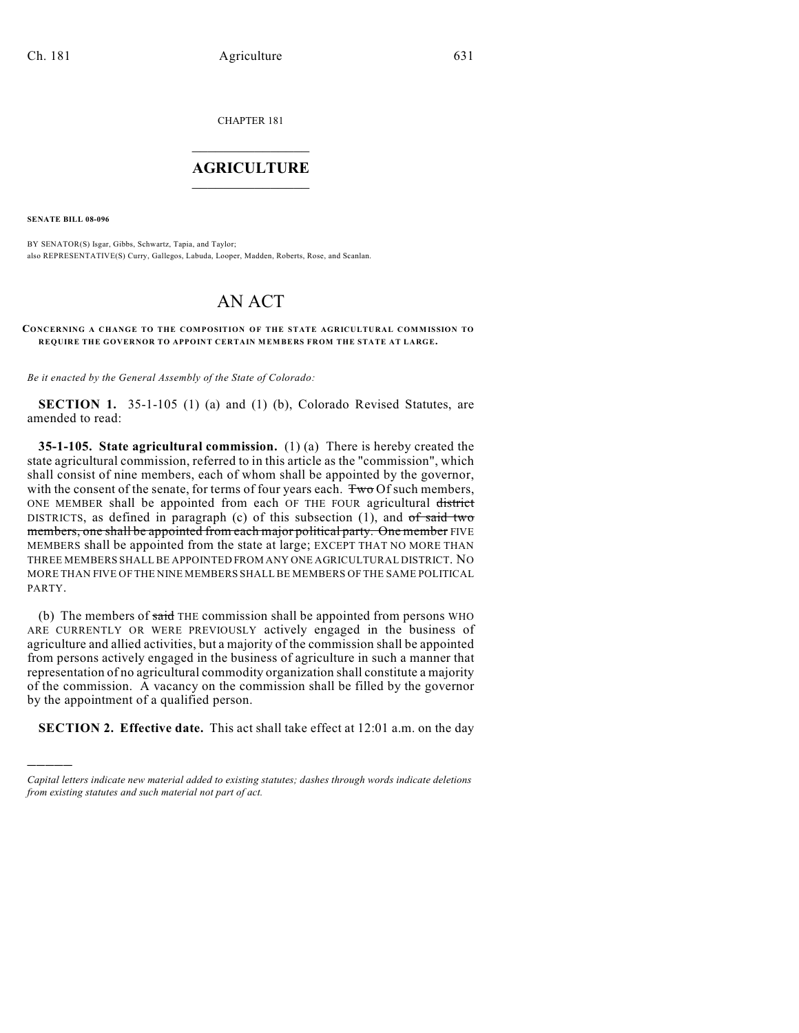CHAPTER 181

## $\overline{\phantom{a}}$  . The set of the set of the set of the set of the set of the set of the set of the set of the set of the set of the set of the set of the set of the set of the set of the set of the set of the set of the set o **AGRICULTURE**  $\_$   $\_$   $\_$   $\_$   $\_$   $\_$   $\_$   $\_$

**SENATE BILL 08-096**

)))))

BY SENATOR(S) Isgar, Gibbs, Schwartz, Tapia, and Taylor; also REPRESENTATIVE(S) Curry, Gallegos, Labuda, Looper, Madden, Roberts, Rose, and Scanlan.

## AN ACT

## **CONCERNING A CHANGE TO THE COMPOSITION OF THE STATE AGRICULTURAL COMMISSION TO REQUIRE THE GOVERNOR TO APPOINT CERTAIN MEMBERS FROM THE STATE AT LARGE.**

*Be it enacted by the General Assembly of the State of Colorado:*

**SECTION 1.** 35-1-105 (1) (a) and (1) (b), Colorado Revised Statutes, are amended to read:

**35-1-105. State agricultural commission.** (1) (a) There is hereby created the state agricultural commission, referred to in this article as the "commission", which shall consist of nine members, each of whom shall be appointed by the governor, with the consent of the senate, for terms of four years each. Two Of such members, ONE MEMBER shall be appointed from each OF THE FOUR agricultural district DISTRICTS, as defined in paragraph (c) of this subsection  $(1)$ , and  $of$  said two members, one shall be appointed from each major political party. One member FIVE MEMBERS shall be appointed from the state at large; EXCEPT THAT NO MORE THAN THREE MEMBERS SHALL BE APPOINTED FROM ANY ONE AGRICULTURAL DISTRICT. NO MORE THAN FIVE OF THE NINE MEMBERS SHALL BE MEMBERS OF THE SAME POLITICAL PARTY.

(b) The members of said THE commission shall be appointed from persons WHO ARE CURRENTLY OR WERE PREVIOUSLY actively engaged in the business of agriculture and allied activities, but a majority of the commission shall be appointed from persons actively engaged in the business of agriculture in such a manner that representation of no agricultural commodity organization shall constitute a majority of the commission. A vacancy on the commission shall be filled by the governor by the appointment of a qualified person.

**SECTION 2. Effective date.** This act shall take effect at 12:01 a.m. on the day

*Capital letters indicate new material added to existing statutes; dashes through words indicate deletions from existing statutes and such material not part of act.*